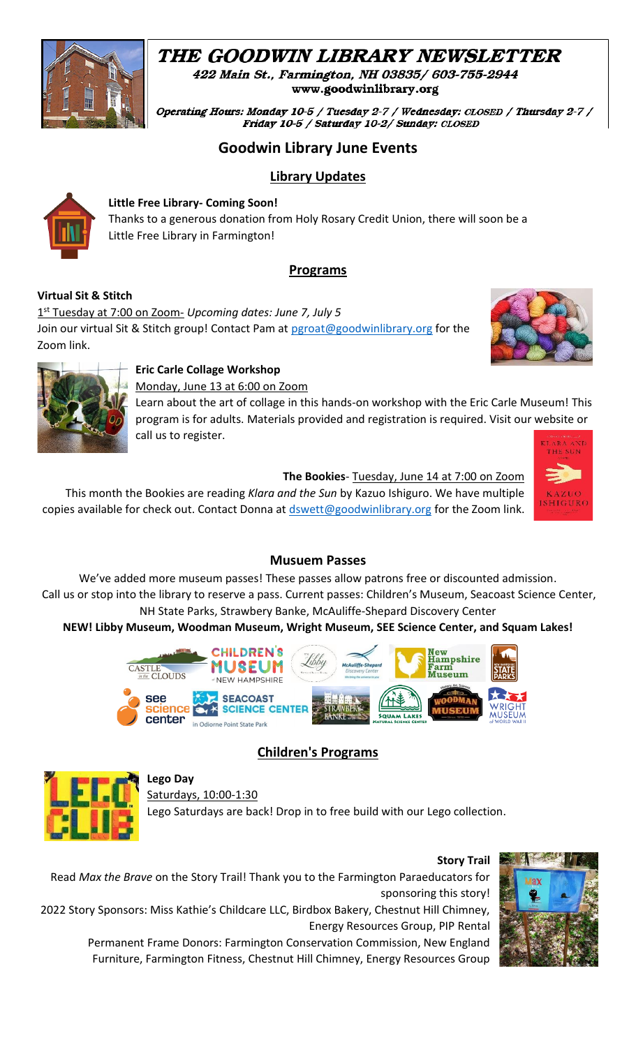# THE GOODWIN LIBRARY NEWSLETTER



Operating Hours: Monday 10-5 / Tuesday 2-7 / Wednesday: CLOSED / Thursday 2-7 / Friday 10-5 / Saturday 10-2/ Sunday: CLOSED

# **Goodwin Library June Events**

# **Library Updates**



#### **Little Free Library- Coming Soon!**

Thanks to a generous donation from Holy Rosary Credit Union, there will soon be a Little Free Library in Farmington!

# **Programs**

#### **Virtual Sit & Stitch**

1 st Tuesday at 7:00 on Zoom- *Upcoming dates: June 7, July 5*  Join our virtual Sit & Stitch group! Contact Pam at [pgroat@goodwinlibrary.org](mailto:pgroat@goodwinlibrary.org?subject=Sit%20%26%20Stitch) for the Zoom link.





### **Eric Carle Collage Workshop**

Monday, June 13 at 6:00 on Zoom

Learn about the art of collage in this hands-on workshop with the Eric Carle Museum! This program is for adults. Materials provided and registration is required. Visit our website or call us to register.

**The Bookies**- Tuesday, June 14 at 7:00 on Zoom This month the Bookies are reading *Klara and the Sun* by Kazuo Ishiguro. We have multiple copies available for check out. Contact Donna at [dswett@goodwinlibrary.org](mailto:dswett@goodwinlibrary.org?subject=Bookies) for the Zoom link.



### **Musuem Passes**

We've added more museum passes! These passes allow patrons free or discounted admission. Call us or stop into the library to reserve a pass. Current passes: Children's Museum, Seacoast Science Center, NH State Parks, Strawbery Banke, McAuliffe-Shepard Discovery Center

# **NEW! Libby Museum, Woodman Museum, Wright Museum, SEE Science Center, and Squam Lakes!**



# **Children's Programs**



### **Lego Day**

Saturdays, 10:00-1:30

Lego Saturdays are back! Drop in to free build with our Lego collection.



Read *Max the Brave* on the Story Trail! Thank you to the Farmington Paraeducators for sponsoring this story!

2022 Story Sponsors: Miss Kathie's Childcare LLC, Birdbox Bakery, Chestnut Hill Chimney, Energy Resources Group, PIP Rental

Permanent Frame Donors: Farmington Conservation Commission, New England Furniture, Farmington Fitness, Chestnut Hill Chimney, Energy Resources Group